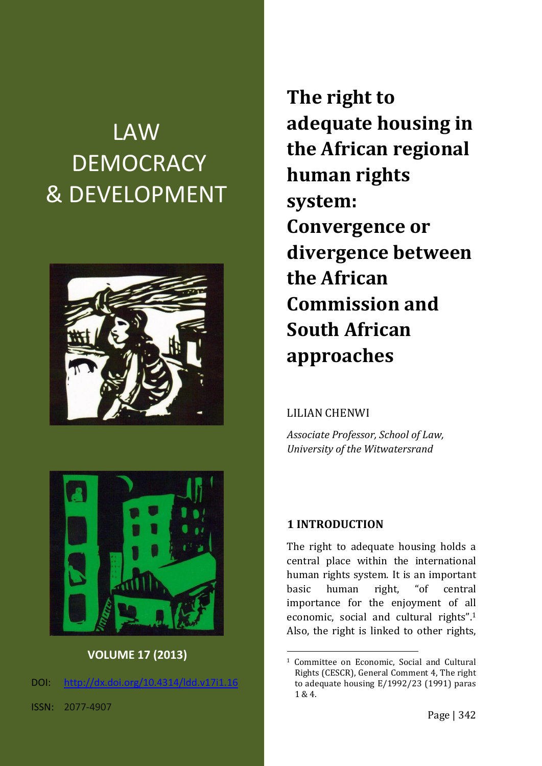# LAW **DEMOCRACY** & DEVELOPMENT



**The right to adequate housing in the African regional human rights system: Convergence or divergence between the African Commission and South African approaches**

#### LILIAN CHENWI

*Associate Professor, School of Law, University of the Witwatersrand*



**VOLUME 17 (2013)**

DOI: [http://dx.doi.org/10.4314/ldd.v17i1.1](http://dx.doi.org/10.4314/ldd.v17i1.)6

#### **1 INTRODUCTION**

<u>.</u>

The right to adequate housing holds a central place within the international human rights system. It is an important basic human right, "of central importance for the enjoyment of all economic, social and cultural rights".<sup>1</sup> Also, the right is linked to other rights,

<sup>1</sup> Committee on Economic, Social and Cultural Rights (CESCR), General Comment 4, The right to adequate housing E/1992/23 (1991) paras 1 & 4.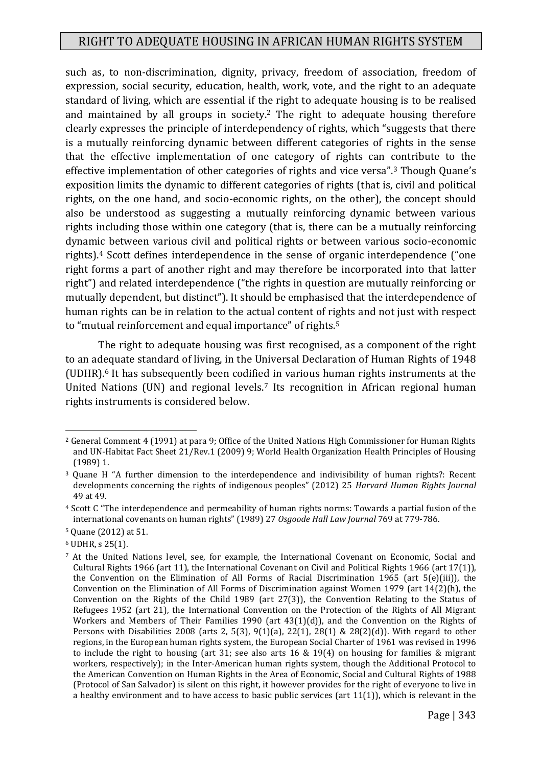such as, to non-discrimination, dignity, privacy, freedom of association, freedom of expression, social security, education, health, work, vote, and the right to an adequate standard of living, which are essential if the right to adequate housing is to be realised and maintained by all groups in society.<sup>2</sup> The right to adequate housing therefore clearly expresses the principle of interdependency of rights, which "suggests that there is a mutually reinforcing dynamic between different categories of rights in the sense that the effective implementation of one category of rights can contribute to the effective implementation of other categories of rights and vice versa".<sup>3</sup> Though Quane's exposition limits the dynamic to different categories of rights (that is, civil and political rights, on the one hand, and socio-economic rights, on the other), the concept should also be understood as suggesting a mutually reinforcing dynamic between various rights including those within one category (that is, there can be a mutually reinforcing dynamic between various civil and political rights or between various socio-economic rights).<sup>4</sup> Scott defines interdependence in the sense of organic interdependence ("one right forms a part of another right and may therefore be incorporated into that latter right") and related interdependence ("the rights in question are mutually reinforcing or mutually dependent, but distinct"). It should be emphasised that the interdependence of human rights can be in relation to the actual content of rights and not just with respect to "mutual reinforcement and equal importance" of rights.<sup>5</sup>

The right to adequate housing was first recognised, as a component of the right to an adequate standard of living, in the Universal Declaration of Human Rights of 1948 (UDHR).<sup>6</sup> It has subsequently been codified in various human rights instruments at the United Nations (UN) and regional levels.<sup>7</sup> Its recognition in African regional human rights instruments is considered below.

<sup>6</sup> UDHR, s 25(1).

<sup>2</sup> General Comment 4 (1991) at para 9; Office of the United Nations High Commissioner for Human Rights and UN-Habitat Fact Sheet 21/Rev.1 (2009) 9; World Health Organization Health Principles of Housing (1989) 1.

<sup>3</sup> Quane H "A further dimension to the interdependence and indivisibility of human rights?: Recent developments concerning the rights of indigenous peoples" (2012) 25 *Harvard Human Rights Journal* 49 at 49.

<sup>4</sup> Scott C "The interdependence and permeability of human rights norms: Towards a partial fusion of the international covenants on human rights" (1989) 27 *Osgoode Hall Law Journal* 769 at 779-786.

<sup>5</sup> Quane (2012) at 51.

<sup>7</sup> At the United Nations level, see, for example, the International Covenant on Economic, Social and Cultural Rights 1966 (art 11), the International Covenant on Civil and Political Rights 1966 (art 17(1)), the Convention on the Elimination of All Forms of Racial Discrimination 1965 (art 5(e)(iii)), the Convention on the Elimination of All Forms of Discrimination against Women 1979 (art 14(2)(h), the Convention on the Rights of the Child 1989 (art 27(3)), the Convention Relating to the Status of Refugees 1952 (art 21), the International Convention on the Protection of the Rights of All Migrant Workers and Members of Their Families 1990 (art 43(1)(d)), and the Convention on the Rights of Persons with Disabilities 2008 (arts 2, 5(3), 9(1)(a), 22(1), 28(1) & 28(2)(d)). With regard to other regions, in the European human rights system, the European Social Charter of 1961 was revised in 1996 to include the right to housing (art 31; see also arts 16 & 19(4) on housing for families & migrant workers, respectively); in the Inter-American human rights system, though the Additional Protocol to the American Convention on Human Rights in the Area of Economic, Social and Cultural Rights of 1988 (Protocol of San Salvador) is silent on this right, it however provides for the right of everyone to live in a healthy environment and to have access to basic public services (art 11(1)), which is relevant in the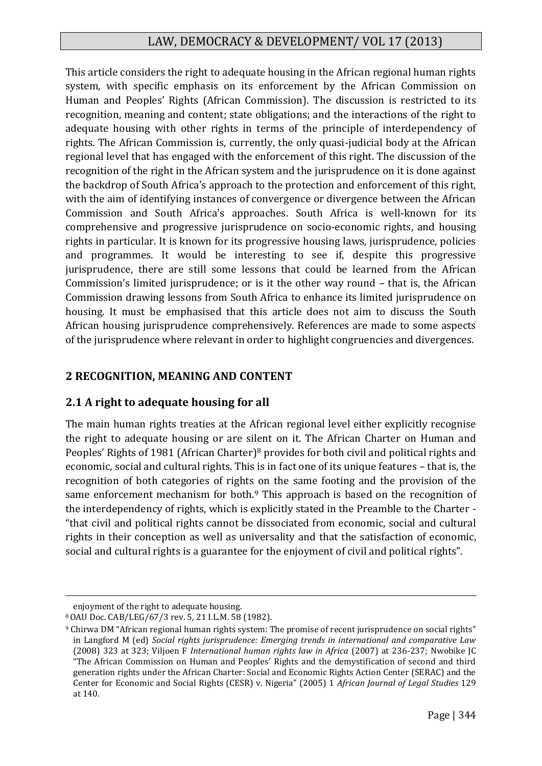This article considers the right to adequate housing in the African regional human rights system, with specific emphasis on its enforcement by the African Commission on Human and Peoples' Rights (African Commission). The discussion is restricted to its recognition, meaning and content; state obligations; and the interactions of the right to adequate housing with other rights in terms of the principle of interdependency of rights. The African Commission is, currently, the only quasi-judicial body at the African regional level that has engaged with the enforcement of this right. The discussion of the recognition of the right in the African system and the jurisprudence on it is done against the backdrop of South Africa's approach to the protection and enforcement of this right, with the aim of identifying instances of convergence or divergence between the African Commission and South Africa's approaches. South Africa is well-known for its comprehensive and progressive jurisprudence on socio-economic rights, and housing rights in particular. It is known for its progressive housing laws, jurisprudence, policies and programmes. It would be interesting to see if, despite this progressive jurisprudence, there are still some lessons that could be learned from the African Commission's limited jurisprudence; or is it the other way round – that is, the African Commission drawing lessons from South Africa to enhance its limited jurisprudence on housing. It must be emphasised that this article does not aim to discuss the South African housing jurisprudence comprehensively. References are made to some aspects of the jurisprudence where relevant in order to highlight congruencies and divergences.

# **2 RECOGNITION, MEANING AND CONTENT**

# **2.1 A right to adequate housing for all**

The main human rights treaties at the African regional level either explicitly recognise the right to adequate housing or are silent on it. The African Charter on Human and Peoples' Rights of 1981 (African Charter)<sup>8</sup> provides for both civil and political rights and economic, social and cultural rights. This is in fact one of its unique features – that is, the recognition of both categories of rights on the same footing and the provision of the same enforcement mechanism for both.<sup>9</sup> This approach is based on the recognition of the interdependency of rights, which is explicitly stated in the Preamble to the Charter - "that civil and political rights cannot be dissociated from economic, social and cultural rights in their conception as well as universality and that the satisfaction of economic, social and cultural rights is a guarantee for the enjoyment of civil and political rights".

enjoyment of the right to adequate housing.

<sup>8</sup>OAU Doc. CAB/LEG/67/3 rev. 5, 21 I.L.M. 58 (1982).

<sup>9</sup> Chirwa DM "African regional human rights system: The promise of recent jurisprudence on social rights" in Langford M (ed) *Social rights jurisprudence: Emerging trends in international and comparative Law* (2008) 323 at 323; Viljoen F *International human rights law in Africa* (2007) at 236-237; Nwobike JC "The African Commission on Human and Peoples' Rights and the demystification of second and third generation rights under the African Charter: Social and Economic Rights Action Center (SERAC) and the Center for Economic and Social Rights (CESR) v. Nigeria" (2005) 1 *African Journal of Legal Studies* 129 at 140.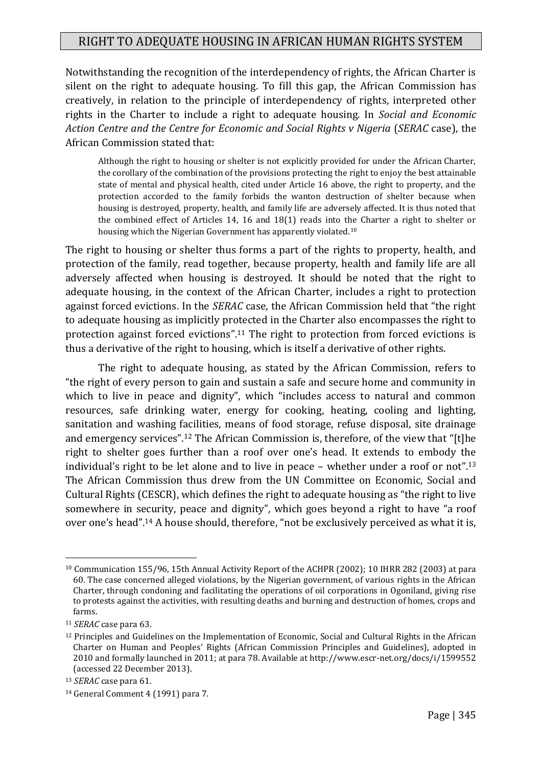Notwithstanding the recognition of the interdependency of rights, the African Charter is silent on the right to adequate housing. To fill this gap, the African Commission has creatively, in relation to the principle of interdependency of rights, interpreted other rights in the Charter to include a right to adequate housing. In *Social and Economic Action Centre and the Centre for Economic and Social Rights v Nigeria* (*SERAC* case), the African Commission stated that:

Although the right to housing or shelter is not explicitly provided for under the African Charter, the corollary of the combination of the provisions protecting the right to enjoy the best attainable state of mental and physical health, cited under Article 16 above, the right to property, and the protection accorded to the family forbids the wanton destruction of shelter because when housing is destroyed, property, health, and family life are adversely affected. It is thus noted that the combined effect of Articles 14, 16 and 18(1) reads into the Charter a right to shelter or housing which the Nigerian Government has apparently violated.<sup>10</sup>

The right to housing or shelter thus forms a part of the rights to property, health, and protection of the family, read together, because property, health and family life are all adversely affected when housing is destroyed. It should be noted that the right to adequate housing, in the context of the African Charter, includes a right to protection against forced evictions. In the *SERAC* case, the African Commission held that "the right to adequate housing as implicitly protected in the Charter also encompasses the right to protection against forced evictions".<sup>11</sup> The right to protection from forced evictions is thus a derivative of the right to housing, which is itself a derivative of other rights.

The right to adequate housing, as stated by the African Commission, refers to "the right of every person to gain and sustain a safe and secure home and community in which to live in peace and dignity", which "includes access to natural and common resources, safe drinking water, energy for cooking, heating, cooling and lighting, sanitation and washing facilities, means of food storage, refuse disposal, site drainage and emergency services".<sup>12</sup> The African Commission is, therefore, of the view that "[t]he right to shelter goes further than a roof over one's head. It extends to embody the individual's right to be let alone and to live in peace – whether under a roof or not".<sup>13</sup> The African Commission thus drew from the UN Committee on Economic, Social and Cultural Rights (CESCR), which defines the right to adequate housing as "the right to live somewhere in security, peace and dignity", which goes beyond a right to have "a roof over one's head".<sup>14</sup> A house should, therefore, "not be exclusively perceived as what it is,

<sup>10</sup> Communication 155/96, 15th Annual Activity Report of the ACHPR (2002); 10 IHRR 282 (2003) at para 60. The case concerned alleged violations, by the Nigerian government, of various rights in the African Charter, through condoning and facilitating the operations of oil corporations in Ogoniland, giving rise to protests against the activities, with resulting deaths and burning and destruction of homes, crops and farms.

<sup>11</sup> *SERAC* case para 63.

<sup>12</sup> Principles and Guidelines on the Implementation of Economic, Social and Cultural Rights in the African Charter on Human and Peoples' Rights (African Commission Principles and Guidelines), adopted in 2010 and formally launched in 2011; at para 78. Available at http://www.escr-net.org/docs/i/1599552 (accessed 22 December 2013).

<sup>13</sup> *SERAC* case para 61.

<sup>14</sup> General Comment 4 (1991) para 7.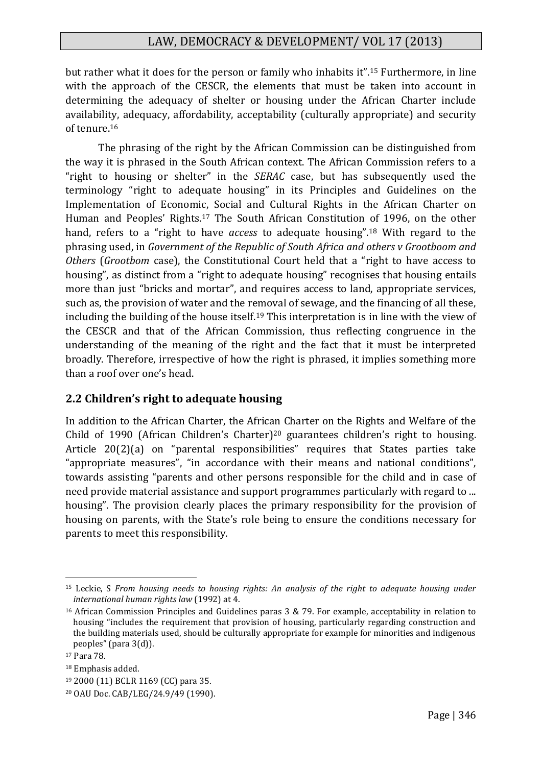but rather what it does for the person or family who inhabits it".<sup>15</sup> Furthermore, in line with the approach of the CESCR, the elements that must be taken into account in determining the adequacy of shelter or housing under the African Charter include availability, adequacy, affordability, acceptability (culturally appropriate) and security of tenure.<sup>16</sup>

The phrasing of the right by the African Commission can be distinguished from the way it is phrased in the South African context. The African Commission refers to a "right to housing or shelter" in the *SERAC* case, but has subsequently used the terminology "right to adequate housing" in its Principles and Guidelines on the Implementation of Economic, Social and Cultural Rights in the African Charter on Human and Peoples' Rights.<sup>17</sup> The South African Constitution of 1996, on the other hand, refers to a "right to have *access* to adequate housing".<sup>18</sup> With regard to the phrasing used, in *Government of the Republic of South Africa and others v Grootboom and Others* (*Grootbom* case), the Constitutional Court held that a "right to have access to housing", as distinct from a "right to adequate housing" recognises that housing entails more than just "bricks and mortar", and requires access to land, appropriate services, such as, the provision of water and the removal of sewage, and the financing of all these, including the building of the house itself.<sup>19</sup> This interpretation is in line with the view of the CESCR and that of the African Commission, thus reflecting congruence in the understanding of the meaning of the right and the fact that it must be interpreted broadly. Therefore, irrespective of how the right is phrased, it implies something more than a roof over one's head.

#### **2.2 Children's right to adequate housing**

In addition to the African Charter, the African Charter on the Rights and Welfare of the Child of 1990 (African Children's Charter)<sup>20</sup> guarantees children's right to housing. Article 20(2)(a) on "parental responsibilities" requires that States parties take "appropriate measures", "in accordance with their means and national conditions", towards assisting "parents and other persons responsible for the child and in case of need provide material assistance and support programmes particularly with regard to ... housing". The provision clearly places the primary responsibility for the provision of housing on parents, with the State's role being to ensure the conditions necessary for parents to meet this responsibility.

<sup>15</sup> Leckie, S *From housing needs to housing rights: An analysis of the right to adequate housing under international human rights law* (1992) at 4.

<sup>16</sup> African Commission Principles and Guidelines paras 3 & 79. For example, acceptability in relation to housing "includes the requirement that provision of housing, particularly regarding construction and the building materials used, should be culturally appropriate for example for minorities and indigenous peoples" (para 3(d)).

<sup>17</sup> Para 78.

<sup>18</sup> Emphasis added.

<sup>19</sup> 2000 (11) BCLR 1169 (CC) para 35.

<sup>20</sup> OAU Doc. CAB/LEG/24.9/49 (1990).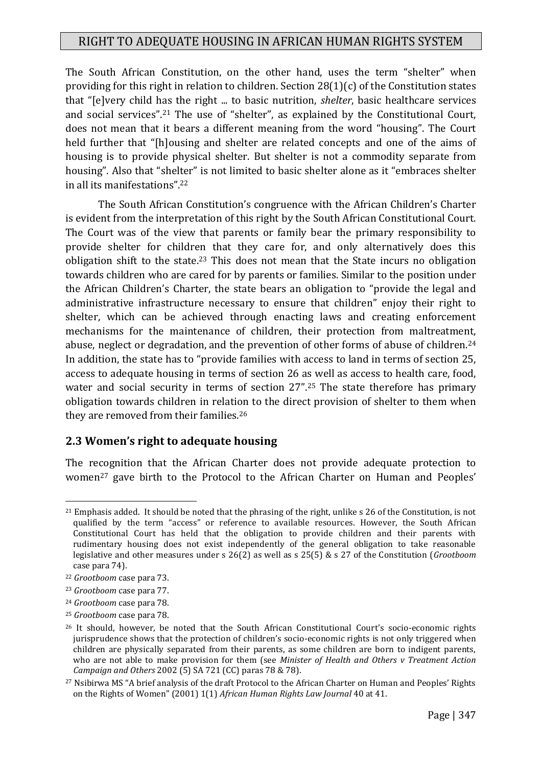The South African Constitution, on the other hand, uses the term "shelter" when providing for this right in relation to children. Section 28(1)(c) of the Constitution states that "[e]very child has the right ... to basic nutrition, *shelter*, basic healthcare services and social services".<sup>21</sup> The use of "shelter", as explained by the Constitutional Court, does not mean that it bears a different meaning from the word "housing". The Court held further that "[h]ousing and shelter are related concepts and one of the aims of housing is to provide physical shelter. But shelter is not a commodity separate from housing". Also that "shelter" is not limited to basic shelter alone as it "embraces shelter in all its manifestations".<sup>22</sup>

The South African Constitution's congruence with the African Children's Charter is evident from the interpretation of this right by the South African Constitutional Court. The Court was of the view that parents or family bear the primary responsibility to provide shelter for children that they care for, and only alternatively does this obligation shift to the state.<sup>23</sup> This does not mean that the State incurs no obligation towards children who are cared for by parents or families. Similar to the position under the African Children's Charter, the state bears an obligation to "provide the legal and administrative infrastructure necessary to ensure that children" enjoy their right to shelter, which can be achieved through enacting laws and creating enforcement mechanisms for the maintenance of children, their protection from maltreatment, abuse, neglect or degradation, and the prevention of other forms of abuse of children.<sup>24</sup> In addition, the state has to "provide families with access to land in terms of section 25, access to adequate housing in terms of section 26 as well as access to health care, food, water and social security in terms of section 27".<sup>25</sup> The state therefore has primary obligation towards children in relation to the direct provision of shelter to them when they are removed from their families.<sup>26</sup>

#### **2.3 Women's right to adequate housing**

The recognition that the African Charter does not provide adequate protection to women<sup>27</sup> gave birth to the Protocol to the African Charter on Human and Peoples'

<sup>&</sup>lt;u>.</u> <sup>21</sup> Emphasis added. It should be noted that the phrasing of the right, unlike s 26 of the Constitution, is not qualified by the term "access" or reference to available resources. However, the South African Constitutional Court has held that the obligation to provide children and their parents with rudimentary housing does not exist independently of the general obligation to take reasonable legislative and other measures under s 26(2) as well as s 25(5) & s 27 of the Constitution (*Grootboom* case para 74).

<sup>22</sup> *Grootboom* case para 73.

<sup>23</sup> *Grootboom* case para 77.

<sup>24</sup> *Grootboom* case para 78.

<sup>25</sup> *Grootboom* case para 78.

<sup>&</sup>lt;sup>26</sup> It should, however, be noted that the South African Constitutional Court's socio-economic rights jurisprudence shows that the protection of children's socio-economic rights is not only triggered when children are physically separated from their parents, as some children are born to indigent parents, who are not able to make provision for them (see *Minister of Health and Others v Treatment Action Campaign and Others* 2002 (5) SA 721 (CC) paras 78 & 78).

<sup>27</sup> Nsibirwa MS "A brief analysis of the draft Protocol to the African Charter on Human and Peoples' Rights on the Rights of Women" (2001) 1(1) *African Human Rights Law Journal* 40 at 41.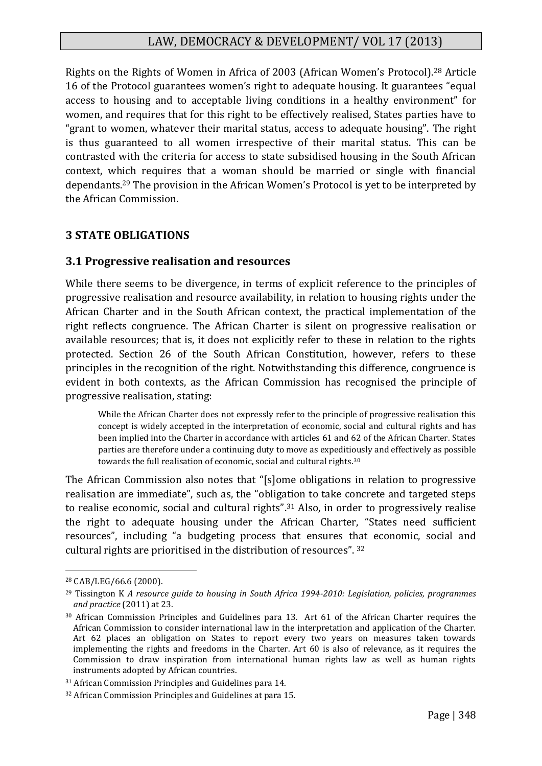Rights on the Rights of Women in Africa of 2003 (African Women's Protocol).<sup>28</sup> Article 16 of the Protocol guarantees women's right to adequate housing. It guarantees "equal access to housing and to acceptable living conditions in a healthy environment" for women, and requires that for this right to be effectively realised, States parties have to "grant to women, whatever their marital status, access to adequate housing". The right is thus guaranteed to all women irrespective of their marital status. This can be contrasted with the criteria for access to state subsidised housing in the South African context, which requires that a woman should be married or single with financial dependants.<sup>29</sup> The provision in the African Women's Protocol is yet to be interpreted by the African Commission.

#### **3 STATE OBLIGATIONS**

#### **3.1 Progressive realisation and resources**

While there seems to be divergence, in terms of explicit reference to the principles of progressive realisation and resource availability, in relation to housing rights under the African Charter and in the South African context, the practical implementation of the right reflects congruence. The African Charter is silent on progressive realisation or available resources; that is, it does not explicitly refer to these in relation to the rights protected. Section 26 of the South African Constitution, however, refers to these principles in the recognition of the right. Notwithstanding this difference, congruence is evident in both contexts, as the African Commission has recognised the principle of progressive realisation, stating:

While the African Charter does not expressly refer to the principle of progressive realisation this concept is widely accepted in the interpretation of economic, social and cultural rights and has been implied into the Charter in accordance with articles 61 and 62 of the African Charter. States parties are therefore under a continuing duty to move as expeditiously and effectively as possible towards the full realisation of economic, social and cultural rights.<sup>30</sup>

The African Commission also notes that "[s]ome obligations in relation to progressive realisation are immediate", such as, the "obligation to take concrete and targeted steps to realise economic, social and cultural rights".<sup>31</sup> Also, in order to progressively realise the right to adequate housing under the African Charter, "States need sufficient resources", including "a budgeting process that ensures that economic, social and cultural rights are prioritised in the distribution of resources". <sup>32</sup>

<sup>28</sup> CAB/LEG/66.6 (2000).

<sup>29</sup> Tissington K *A resource guide to housing in South Africa 1994-2010: Legislation, policies, programmes and practice* (2011) at 23.

<sup>30</sup> African Commission Principles and Guidelines para 13. Art 61 of the African Charter requires the African Commission to consider international law in the interpretation and application of the Charter. Art 62 places an obligation on States to report every two years on measures taken towards implementing the rights and freedoms in the Charter. Art 60 is also of relevance, as it requires the Commission to draw inspiration from international human rights law as well as human rights instruments adopted by African countries.

<sup>31</sup> African Commission Principles and Guidelines para 14.

<sup>32</sup> African Commission Principles and Guidelines at para 15.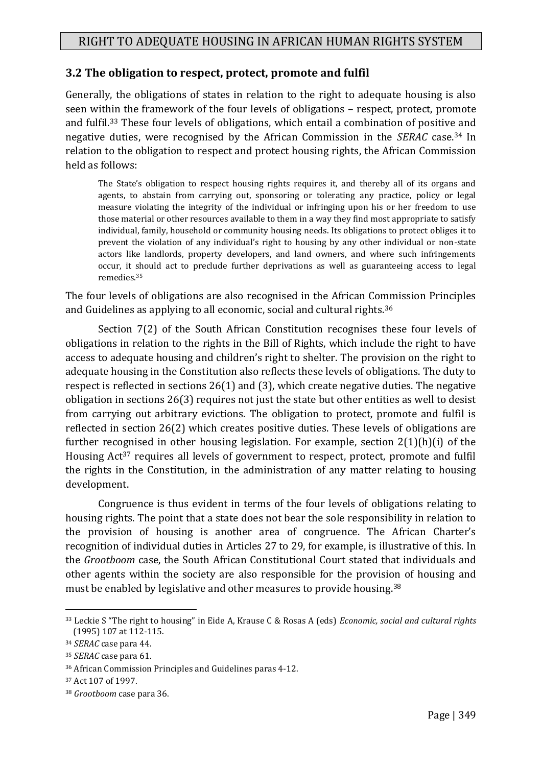#### **3.2 The obligation to respect, protect, promote and fulfil**

Generally, the obligations of states in relation to the right to adequate housing is also seen within the framework of the four levels of obligations – respect, protect, promote and fulfil.<sup>33</sup> These four levels of obligations, which entail a combination of positive and negative duties, were recognised by the African Commission in the *SERAC* case.<sup>34</sup> In relation to the obligation to respect and protect housing rights, the African Commission held as follows:

The State's obligation to respect housing rights requires it, and thereby all of its organs and agents, to abstain from carrying out, sponsoring or tolerating any practice, policy or legal measure violating the integrity of the individual or infringing upon his or her freedom to use those material or other resources available to them in a way they find most appropriate to satisfy individual, family, household or community housing needs. Its obligations to protect obliges it to prevent the violation of any individual's right to housing by any other individual or non-state actors like landlords, property developers, and land owners, and where such infringements occur, it should act to preclude further deprivations as well as guaranteeing access to legal remedies.<sup>35</sup>

The four levels of obligations are also recognised in the African Commission Principles and Guidelines as applying to all economic, social and cultural rights.<sup>36</sup>

Section 7(2) of the South African Constitution recognises these four levels of obligations in relation to the rights in the Bill of Rights, which include the right to have access to adequate housing and children's right to shelter. The provision on the right to adequate housing in the Constitution also reflects these levels of obligations. The duty to respect is reflected in sections 26(1) and (3), which create negative duties. The negative obligation in sections 26(3) requires not just the state but other entities as well to desist from carrying out arbitrary evictions. The obligation to protect, promote and fulfil is reflected in section 26(2) which creates positive duties. These levels of obligations are further recognised in other housing legislation. For example, section 2(1)(h)(i) of the Housing Act<sup>37</sup> requires all levels of government to respect, protect, promote and fulfil the rights in the Constitution, in the administration of any matter relating to housing development.

Congruence is thus evident in terms of the four levels of obligations relating to housing rights. The point that a state does not bear the sole responsibility in relation to the provision of housing is another area of congruence. The African Charter's recognition of individual duties in Articles 27 to 29, for example, is illustrative of this. In the *Grootboom* case, the South African Constitutional Court stated that individuals and other agents within the society are also responsible for the provision of housing and must be enabled by legislative and other measures to provide housing.<sup>38</sup>

<sup>33</sup> Leckie S "The right to housing" in Eide A, Krause C & Rosas A (eds) *Economic, social and cultural rights* (1995) 107 at 112-115.

<sup>34</sup> *SERAC* case para 44.

<sup>35</sup> *SERAC* case para 61.

<sup>36</sup> African Commission Principles and Guidelines paras 4-12.

<sup>37</sup> Act 107 of 1997.

<sup>38</sup> *Grootboom* case para 36.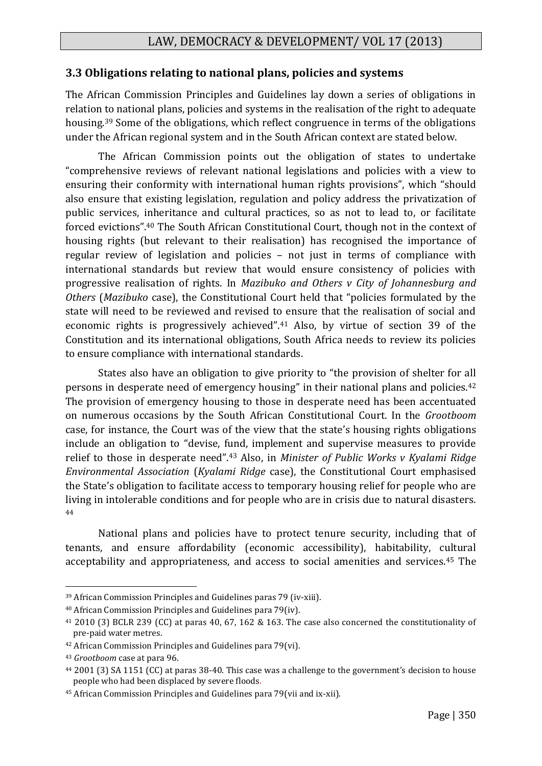## **3.3 Obligations relating to national plans, policies and systems**

The African Commission Principles and Guidelines lay down a series of obligations in relation to national plans, policies and systems in the realisation of the right to adequate housing.<sup>39</sup> Some of the obligations, which reflect congruence in terms of the obligations under the African regional system and in the South African context are stated below.

The African Commission points out the obligation of states to undertake "comprehensive reviews of relevant national legislations and policies with a view to ensuring their conformity with international human rights provisions", which "should also ensure that existing legislation, regulation and policy address the privatization of public services, inheritance and cultural practices, so as not to lead to, or facilitate forced evictions".<sup>40</sup> The South African Constitutional Court, though not in the context of housing rights (but relevant to their realisation) has recognised the importance of regular review of legislation and policies – not just in terms of compliance with international standards but review that would ensure consistency of policies with progressive realisation of rights. In *Mazibuko and Others v City of Johannesburg and Others* (*Mazibuko* case), the Constitutional Court held that "policies formulated by the state will need to be reviewed and revised to ensure that the realisation of social and economic rights is progressively achieved".<sup>41</sup> Also, by virtue of section 39 of the Constitution and its international obligations, South Africa needs to review its policies to ensure compliance with international standards.

States also have an obligation to give priority to "the provision of shelter for all persons in desperate need of emergency housing" in their national plans and policies.<sup>42</sup> The provision of emergency housing to those in desperate need has been accentuated on numerous occasions by the South African Constitutional Court. In the *Grootboom* case, for instance, the Court was of the view that the state's housing rights obligations include an obligation to "devise, fund, implement and supervise measures to provide relief to those in desperate need".<sup>43</sup> Also, in *Minister of Public Works v Kyalami Ridge Environmental Association* (*Kyalami Ridge* case), the Constitutional Court emphasised the State's obligation to facilitate access to temporary housing relief for people who are living in intolerable conditions and for people who are in crisis due to natural disasters. 44

National plans and policies have to protect tenure security, including that of tenants, and ensure affordability (economic accessibility), habitability, cultural acceptability and appropriateness, and access to social amenities and services.<sup>45</sup> The

<sup>39</sup> African Commission Principles and Guidelines paras 79 (iv-xiii).

<sup>40</sup> African Commission Principles and Guidelines para 79(iv).

<sup>41</sup> 2010 (3) BCLR 239 (CC) at paras 40, 67, 162 & 163. The case also concerned the constitutionality of pre-paid water metres.

<sup>42</sup> African Commission Principles and Guidelines para 79(vi).

<sup>43</sup> *Grootboom* case at para 96.

<sup>44</sup> 2001 (3) SA 1151 (CC) at paras 38-40. This case was a challenge to the government's decision to house people who had been displaced by severe floods.

<sup>45</sup> African Commission Principles and Guidelines para 79(vii and ix-xii).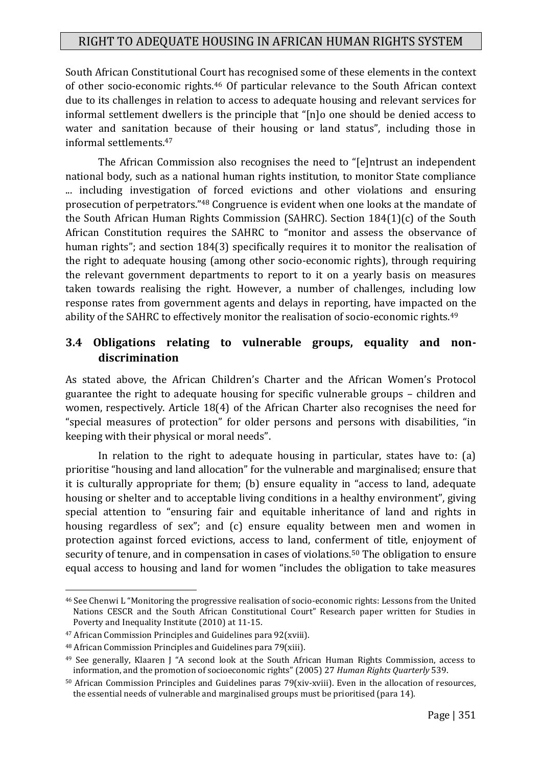South African Constitutional Court has recognised some of these elements in the context of other socio-economic rights.<sup>46</sup> Of particular relevance to the South African context due to its challenges in relation to access to adequate housing and relevant services for informal settlement dwellers is the principle that "[n]o one should be denied access to water and sanitation because of their housing or land status", including those in informal settlements.<sup>47</sup>

The African Commission also recognises the need to "[e]ntrust an independent national body, such as a national human rights institution, to monitor State compliance ... including investigation of forced evictions and other violations and ensuring prosecution of perpetrators."<sup>48</sup> Congruence is evident when one looks at the mandate of the South African Human Rights Commission (SAHRC). Section 184(1)(c) of the South African Constitution requires the SAHRC to "monitor and assess the observance of human rights"; and section 184(3) specifically requires it to monitor the realisation of the right to adequate housing (among other socio-economic rights), through requiring the relevant government departments to report to it on a yearly basis on measures taken towards realising the right. However, a number of challenges, including low response rates from government agents and delays in reporting, have impacted on the ability of the SAHRC to effectively monitor the realisation of socio-economic rights.<sup>49</sup>

## **3.4 Obligations relating to vulnerable groups, equality and nondiscrimination**

As stated above, the African Children's Charter and the African Women's Protocol guarantee the right to adequate housing for specific vulnerable groups – children and women, respectively. Article 18(4) of the African Charter also recognises the need for "special measures of protection" for older persons and persons with disabilities, "in keeping with their physical or moral needs".

In relation to the right to adequate housing in particular, states have to: (a) prioritise "housing and land allocation" for the vulnerable and marginalised; ensure that it is culturally appropriate for them; (b) ensure equality in "access to land, adequate housing or shelter and to acceptable living conditions in a healthy environment", giving special attention to "ensuring fair and equitable inheritance of land and rights in housing regardless of sex"; and (c) ensure equality between men and women in protection against forced evictions, access to land, conferment of title, enjoyment of security of tenure, and in compensation in cases of violations.<sup>50</sup> The obligation to ensure equal access to housing and land for women "includes the obligation to take measures

<sup>46</sup> See Chenwi L "Monitoring the progressive realisation of socio-economic rights: Lessons from the United Nations CESCR and the South African Constitutional Court" Research paper written for Studies in Poverty and Inequality Institute (2010) at 11-15.

<sup>47</sup> African Commission Principles and Guidelines para 92(xviii).

<sup>48</sup> African Commission Principles and Guidelines para 79(xiii).

<sup>49</sup> See generally, Klaaren J "A second look at the South African Human Rights Commission, access to information, and the promotion of socioeconomic rights" (2005) 27 *Human Rights Quarterly* 539.

<sup>50</sup> African Commission Principles and Guidelines paras 79(xiv-xviii). Even in the allocation of resources, the essential needs of vulnerable and marginalised groups must be prioritised (para 14).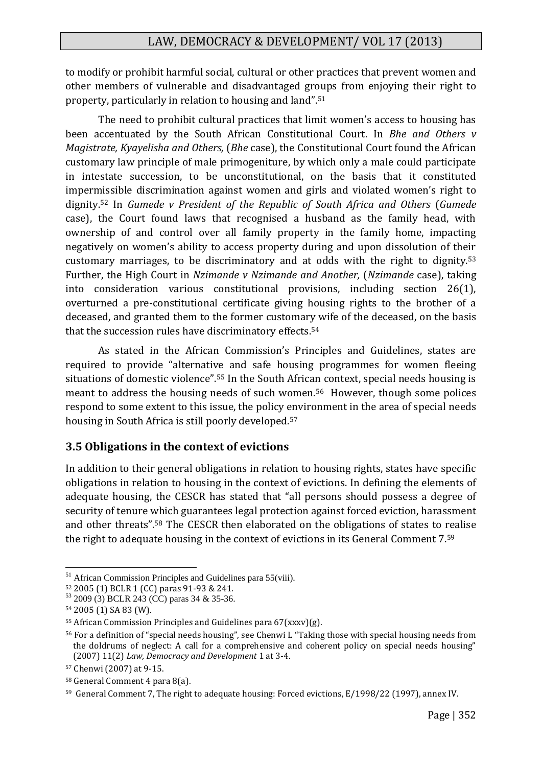to modify or prohibit harmful social, cultural or other practices that prevent women and other members of vulnerable and disadvantaged groups from enjoying their right to property, particularly in relation to housing and land".<sup>51</sup>

The need to prohibit cultural practices that limit women's access to housing has been accentuated by the South African Constitutional Court. In *Bhe and Others v Magistrate, Kyayelisha and Others,* (*Bhe* case), the Constitutional Court found the African customary law principle of male primogeniture, by which only a male could participate in intestate succession, to be unconstitutional, on the basis that it constituted impermissible discrimination against women and girls and violated women's right to dignity. <sup>52</sup> In *Gumede v President of the Republic of South Africa and Others* (*Gumede*  case), the Court found laws that recognised a husband as the family head, with ownership of and control over all family property in the family home, impacting negatively on women's ability to access property during and upon dissolution of their customary marriages, to be discriminatory and at odds with the right to dignity.<sup>53</sup> Further, the High Court in *Nzimande v Nzimande and Another,* (*Nzimande* case), taking into consideration various constitutional provisions, including section 26(1), overturned a pre-constitutional certificate giving housing rights to the brother of a deceased, and granted them to the former customary wife of the deceased, on the basis that the succession rules have discriminatory effects.<sup>54</sup>

As stated in the African Commission's Principles and Guidelines, states are required to provide "alternative and safe housing programmes for women fleeing situations of domestic violence".<sup>55</sup> In the South African context, special needs housing is meant to address the housing needs of such women.56 However, though some polices respond to some extent to this issue, the policy environment in the area of special needs housing in South Africa is still poorly developed.<sup>57</sup>

#### **3.5 Obligations in the context of evictions**

In addition to their general obligations in relation to housing rights, states have specific obligations in relation to housing in the context of evictions. In defining the elements of adequate housing, the CESCR has stated that "all persons should possess a degree of security of tenure which guarantees legal protection against forced eviction, harassment and other threats".<sup>58</sup> The CESCR then elaborated on the obligations of states to realise the right to adequate housing in the context of evictions in its General Comment 7.<sup>59</sup>

<sup>&</sup>lt;sup>51</sup> African Commission Principles and Guidelines para 55(viii).

<sup>52</sup> 2005 (1) BCLR 1 (CC) paras 91-93 & 241.

<sup>53</sup> 2009 (3) BCLR 243 (CC) paras 34 & 35-36.

<sup>54</sup> 2005 (1) SA 83 (W).

<sup>&</sup>lt;sup>55</sup> African Commission Principles and Guidelines para  $67(xxxv)(g)$ .

<sup>56</sup> For a definition of "special needs housing", see Chenwi L "Taking those with special housing needs from the doldrums of neglect: A call for a comprehensive and coherent policy on special needs housing" (2007) 11(2) *Law, Democracy and Development* 1 at 3-4.

<sup>57</sup> Chenwi (2007) at 9-15.

<sup>58</sup> General Comment 4 para 8(a).

<sup>59</sup> General Comment 7, The right to adequate housing: Forced evictions, E/1998/22 (1997), annex IV.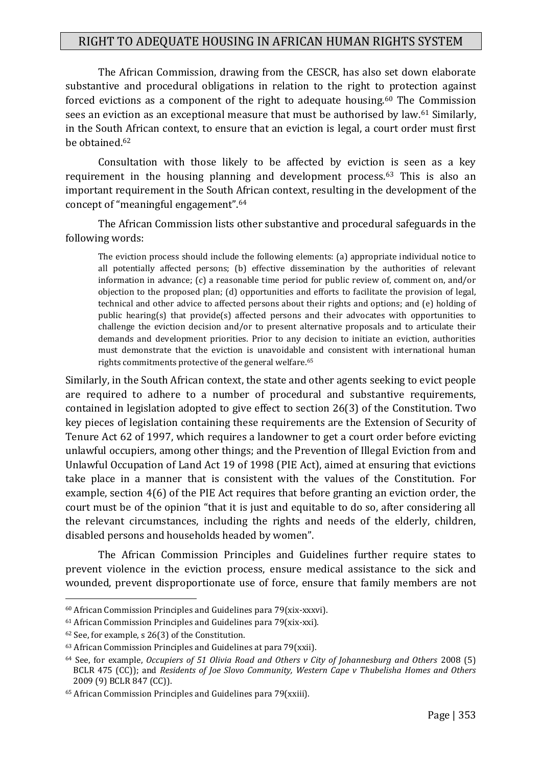The African Commission, drawing from the CESCR, has also set down elaborate substantive and procedural obligations in relation to the right to protection against forced evictions as a component of the right to adequate housing.<sup>60</sup> The Commission sees an eviction as an exceptional measure that must be authorised by law.<sup>61</sup> Similarly, in the South African context, to ensure that an eviction is legal, a court order must first be obtained.<sup>62</sup>

Consultation with those likely to be affected by eviction is seen as a key requirement in the housing planning and development process.<sup>63</sup> This is also an important requirement in the South African context, resulting in the development of the concept of "meaningful engagement".<sup>64</sup>

The African Commission lists other substantive and procedural safeguards in the following words:

The eviction process should include the following elements: (a) appropriate individual notice to all potentially affected persons; (b) effective dissemination by the authorities of relevant information in advance; (c) a reasonable time period for public review of, comment on, and/or objection to the proposed plan; (d) opportunities and efforts to facilitate the provision of legal, technical and other advice to affected persons about their rights and options; and (e) holding of public hearing(s) that provide(s) affected persons and their advocates with opportunities to challenge the eviction decision and/or to present alternative proposals and to articulate their demands and development priorities. Prior to any decision to initiate an eviction, authorities must demonstrate that the eviction is unavoidable and consistent with international human rights commitments protective of the general welfare.<sup>65</sup>

Similarly, in the South African context, the state and other agents seeking to evict people are required to adhere to a number of procedural and substantive requirements, contained in legislation adopted to give effect to section 26(3) of the Constitution. Two key pieces of legislation containing these requirements are the Extension of Security of Tenure Act 62 of 1997, which requires a landowner to get a court order before evicting unlawful occupiers, among other things; and the Prevention of Illegal Eviction from and Unlawful Occupation of Land Act 19 of 1998 (PIE Act), aimed at ensuring that evictions take place in a manner that is consistent with the values of the Constitution. For example, section 4(6) of the PIE Act requires that before granting an eviction order, the court must be of the opinion "that it is just and equitable to do so, after considering all the relevant circumstances, including the rights and needs of the elderly, children, disabled persons and households headed by women".

The African Commission Principles and Guidelines further require states to prevent violence in the eviction process, ensure medical assistance to the sick and wounded, prevent disproportionate use of force, ensure that family members are not

<sup>60</sup> African Commission Principles and Guidelines para 79(xix-xxxvi).

<sup>61</sup> African Commission Principles and Guidelines para 79(xix-xxi).

<sup>62</sup> See, for example, s 26(3) of the Constitution.

 $63$  African Commission Principles and Guidelines at para 79(xxii).

<sup>64</sup> See, for example, *Occupiers of 51 Olivia Road and Others v City of Johannesburg and Others* 2008 (5) BCLR 475 (CC)); and *Residents of Joe Slovo Community, Western Cape v Thubelisha Homes and Others* 2009 (9) BCLR 847 (CC)).

<sup>65</sup> African Commission Principles and Guidelines para 79(xxiii).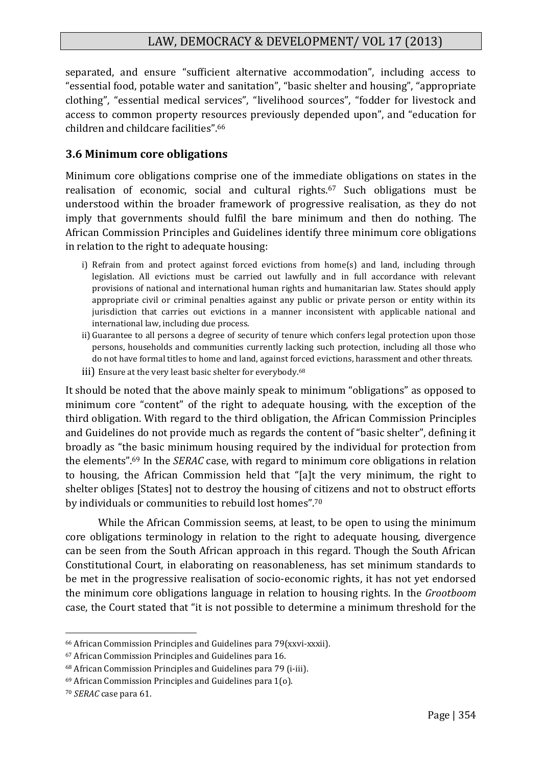separated, and ensure "sufficient alternative accommodation", including access to "essential food, potable water and sanitation", "basic shelter and housing", "appropriate clothing", "essential medical services", "livelihood sources", "fodder for livestock and access to common property resources previously depended upon", and "education for children and childcare facilities".<sup>66</sup>

#### **3.6 Minimum core obligations**

Minimum core obligations comprise one of the immediate obligations on states in the realisation of economic, social and cultural rights.<sup>67</sup> Such obligations must be understood within the broader framework of progressive realisation, as they do not imply that governments should fulfil the bare minimum and then do nothing. The African Commission Principles and Guidelines identify three minimum core obligations in relation to the right to adequate housing:

- i) Refrain from and protect against forced evictions from home(s) and land, including through legislation. All evictions must be carried out lawfully and in full accordance with relevant provisions of national and international human rights and humanitarian law. States should apply appropriate civil or criminal penalties against any public or private person or entity within its jurisdiction that carries out evictions in a manner inconsistent with applicable national and international law, including due process.
- ii) Guarantee to all persons a degree of security of tenure which confers legal protection upon those persons, households and communities currently lacking such protection, including all those who do not have formal titles to home and land, against forced evictions, harassment and other threats.
- iii) Ensure at the very least basic shelter for everybody.<sup>68</sup>

It should be noted that the above mainly speak to minimum "obligations" as opposed to minimum core "content" of the right to adequate housing, with the exception of the third obligation. With regard to the third obligation, the African Commission Principles and Guidelines do not provide much as regards the content of "basic shelter", defining it broadly as "the basic minimum housing required by the individual for protection from the elements".<sup>69</sup> In the *SERAC* case, with regard to minimum core obligations in relation to housing, the African Commission held that "[a]t the very minimum, the right to shelter obliges [States] not to destroy the housing of citizens and not to obstruct efforts by individuals or communities to rebuild lost homes".<sup>70</sup>

While the African Commission seems, at least, to be open to using the minimum core obligations terminology in relation to the right to adequate housing, divergence can be seen from the South African approach in this regard. Though the South African Constitutional Court, in elaborating on reasonableness, has set minimum standards to be met in the progressive realisation of socio-economic rights, it has not yet endorsed the minimum core obligations language in relation to housing rights. In the *Grootboom* case, the Court stated that "it is not possible to determine a minimum threshold for the

<sup>66</sup> African Commission Principles and Guidelines para 79(xxvi-xxxii).

<sup>67</sup> African Commission Principles and Guidelines para 16.

<sup>68</sup> African Commission Principles and Guidelines para 79 (i-iii).

<sup>69</sup> African Commission Principles and Guidelines para 1(o).

<sup>70</sup> *SERAC* case para 61.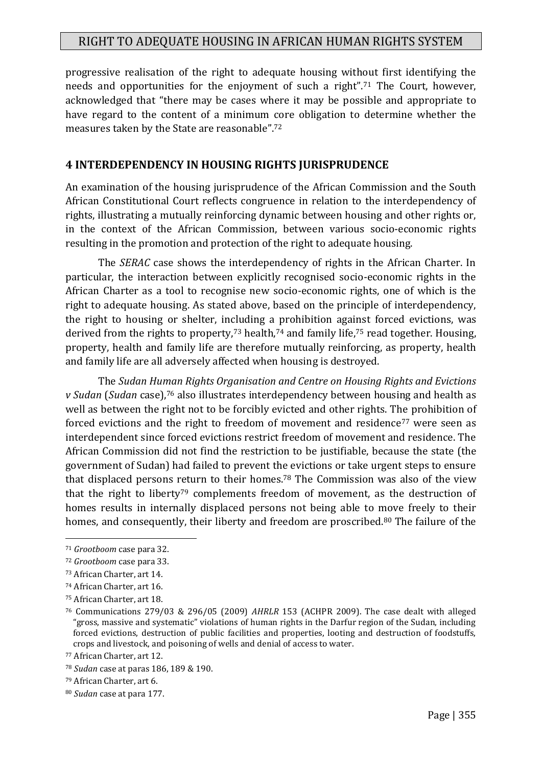progressive realisation of the right to adequate housing without first identifying the needs and opportunities for the enjoyment of such a right".<sup>71</sup> The Court, however, acknowledged that "there may be cases where it may be possible and appropriate to have regard to the content of a minimum core obligation to determine whether the measures taken by the State are reasonable".<sup>72</sup>

## **4 INTERDEPENDENCY IN HOUSING RIGHTS JURISPRUDENCE**

An examination of the housing jurisprudence of the African Commission and the South African Constitutional Court reflects congruence in relation to the interdependency of rights, illustrating a mutually reinforcing dynamic between housing and other rights or, in the context of the African Commission, between various socio-economic rights resulting in the promotion and protection of the right to adequate housing.

The *SERAC* case shows the interdependency of rights in the African Charter. In particular, the interaction between explicitly recognised socio-economic rights in the African Charter as a tool to recognise new socio-economic rights, one of which is the right to adequate housing. As stated above, based on the principle of interdependency, the right to housing or shelter, including a prohibition against forced evictions, was derived from the rights to property,<sup>73</sup> health,<sup>74</sup> and family life,<sup>75</sup> read together. Housing, property, health and family life are therefore mutually reinforcing, as property, health and family life are all adversely affected when housing is destroyed.

The *Sudan Human Rights Organisation and Centre on Housing Rights and Evictions v Sudan* (*Sudan* case),<sup>76</sup> also illustrates interdependency between housing and health as well as between the right not to be forcibly evicted and other rights. The prohibition of forced evictions and the right to freedom of movement and residence<sup>77</sup> were seen as interdependent since forced evictions restrict freedom of movement and residence. The African Commission did not find the restriction to be justifiable, because the state (the government of Sudan) had failed to prevent the evictions or take urgent steps to ensure that displaced persons return to their homes.<sup>78</sup> The Commission was also of the view that the right to liberty<sup>79</sup> complements freedom of movement, as the destruction of homes results in internally displaced persons not being able to move freely to their homes, and consequently, their liberty and freedom are proscribed.<sup>80</sup> The failure of the

<sup>71</sup> *Grootboom* case para 32.

<sup>72</sup> *Grootboom* case para 33.

<sup>73</sup> African Charter, art 14.

<sup>74</sup> African Charter, art 16.

<sup>75</sup> African Charter, art 18.

<sup>76</sup> Communications 279/03 & 296/05 (2009) *AHRLR* 153 (ACHPR 2009). The case dealt with alleged "gross, massive and systematic" violations of human rights in the Darfur region of the Sudan, including forced evictions, destruction of public facilities and properties, looting and destruction of foodstuffs, crops and livestock, and poisoning of wells and denial of access to water.

<sup>77</sup> African Charter, art 12.

<sup>78</sup> *Sudan* case at paras 186, 189 & 190.

<sup>79</sup> African Charter, art 6.

<sup>80</sup> *Sudan* case at para 177.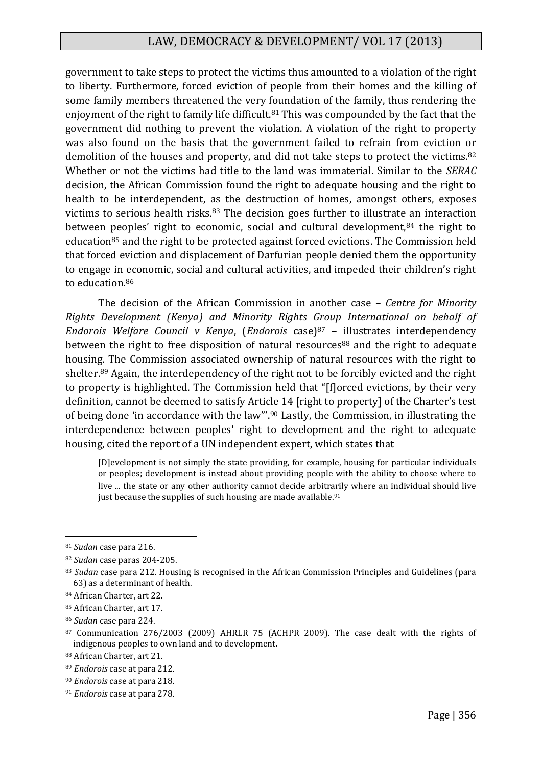government to take steps to protect the victims thus amounted to a violation of the right to liberty. Furthermore, forced eviction of people from their homes and the killing of some family members threatened the very foundation of the family, thus rendering the enjoyment of the right to family life difficult.<sup>81</sup> This was compounded by the fact that the government did nothing to prevent the violation. A violation of the right to property was also found on the basis that the government failed to refrain from eviction or demolition of the houses and property, and did not take steps to protect the victims.<sup>82</sup> Whether or not the victims had title to the land was immaterial. Similar to the *SERAC* decision, the African Commission found the right to adequate housing and the right to health to be interdependent, as the destruction of homes, amongst others, exposes victims to serious health risks.<sup>83</sup> The decision goes further to illustrate an interaction between peoples' right to economic, social and cultural development,<sup>84</sup> the right to education<sup>85</sup> and the right to be protected against forced evictions. The Commission held that forced eviction and displacement of Darfurian people denied them the opportunity to engage in economic, social and cultural activities, and impeded their children's right to education.<sup>86</sup>

The decision of the African Commission in another case – *Centre for Minority Rights Development (Kenya) and Minority Rights Group International on behalf of Endorois Welfare Council v Kenya*, (*Endorois* case)<sup>87</sup> – illustrates interdependency between the right to free disposition of natural resources<sup>88</sup> and the right to adequate housing. The Commission associated ownership of natural resources with the right to shelter.<sup>89</sup> Again, the interdependency of the right not to be forcibly evicted and the right to property is highlighted. The Commission held that "[f]orced evictions, by their very definition, cannot be deemed to satisfy Article 14 [right to property] of the Charter's test of being done 'in accordance with the law"'.<sup>90</sup> Lastly, the Commission, in illustrating the interdependence between peoples' right to development and the right to adequate housing, cited the report of a UN independent expert, which states that

[D]evelopment is not simply the state providing, for example, housing for particular individuals or peoples; development is instead about providing people with the ability to choose where to live ... the state or any other authority cannot decide arbitrarily where an individual should live just because the supplies of such housing are made available.<sup>91</sup>

<sup>81</sup> *Sudan* case para 216.

<sup>82</sup> *Sudan* case paras 204-205.

<sup>83</sup> *Sudan* case para 212. Housing is recognised in the African Commission Principles and Guidelines (para 63) as a determinant of health.

<sup>84</sup> African Charter, art 22.

<sup>85</sup> African Charter, art 17.

<sup>86</sup> *Sudan* case para 224.

<sup>87</sup> Communication 276/2003 (2009) AHRLR 75 (ACHPR 2009). The case dealt with the rights of indigenous peoples to own land and to development.

<sup>88</sup> African Charter, art 21.

<sup>89</sup> *Endorois* case at para 212.

<sup>90</sup> *Endorois* case at para 218.

<sup>91</sup> *Endorois* case at para 278.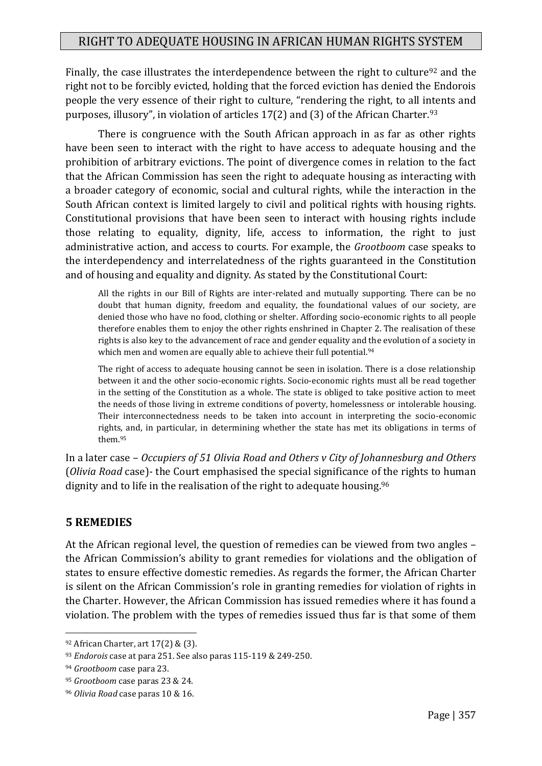Finally, the case illustrates the interdependence between the right to culture<sup>92</sup> and the right not to be forcibly evicted, holding that the forced eviction has denied the Endorois people the very essence of their right to culture, "rendering the right, to all intents and purposes, illusory", in violation of articles  $17(2)$  and  $(3)$  of the African Charter.<sup>93</sup>

There is congruence with the South African approach in as far as other rights have been seen to interact with the right to have access to adequate housing and the prohibition of arbitrary evictions. The point of divergence comes in relation to the fact that the African Commission has seen the right to adequate housing as interacting with a broader category of economic, social and cultural rights, while the interaction in the South African context is limited largely to civil and political rights with housing rights. Constitutional provisions that have been seen to interact with housing rights include those relating to equality, dignity, life, access to information, the right to just administrative action, and access to courts. For example, the *Grootboom* case speaks to the interdependency and interrelatedness of the rights guaranteed in the Constitution and of housing and equality and dignity. As stated by the Constitutional Court:

All the rights in our Bill of Rights are inter-related and mutually supporting. There can be no doubt that human dignity, freedom and equality, the foundational values of our society, are denied those who have no food, clothing or shelter. Affording socio-economic rights to all people therefore enables them to enjoy the other rights enshrined in Chapter 2. The realisation of these rights is also key to the advancement of race and gender equality and the evolution of a society in which men and women are equally able to achieve their full potential.<sup>94</sup>

The right of access to adequate housing cannot be seen in isolation. There is a close relationship between it and the other socio-economic rights. Socio-economic rights must all be read together in the setting of the Constitution as a whole. The state is obliged to take positive action to meet the needs of those living in extreme conditions of poverty, homelessness or intolerable housing. Their interconnectedness needs to be taken into account in interpreting the socio-economic rights, and, in particular, in determining whether the state has met its obligations in terms of them.<sup>95</sup>

In a later case – *Occupiers of 51 Olivia Road and Others v City of Johannesburg and Others* (*Olivia Road* case)- the Court emphasised the special significance of the rights to human dignity and to life in the realisation of the right to adequate housing.<sup>96</sup>

#### **5 REMEDIES**

1

At the African regional level, the question of remedies can be viewed from two angles – the African Commission's ability to grant remedies for violations and the obligation of states to ensure effective domestic remedies. As regards the former, the African Charter is silent on the African Commission's role in granting remedies for violation of rights in the Charter. However, the African Commission has issued remedies where it has found a violation. The problem with the types of remedies issued thus far is that some of them

<sup>92</sup> African Charter, art 17(2) & (3).

<sup>93</sup> *Endorois* case at para 251. See also paras 115-119 & 249-250.

<sup>94</sup> *Grootboom* case para 23.

<sup>95</sup> *Grootboom* case paras 23 & 24.

<sup>96</sup> *Olivia Road* case paras 10 & 16.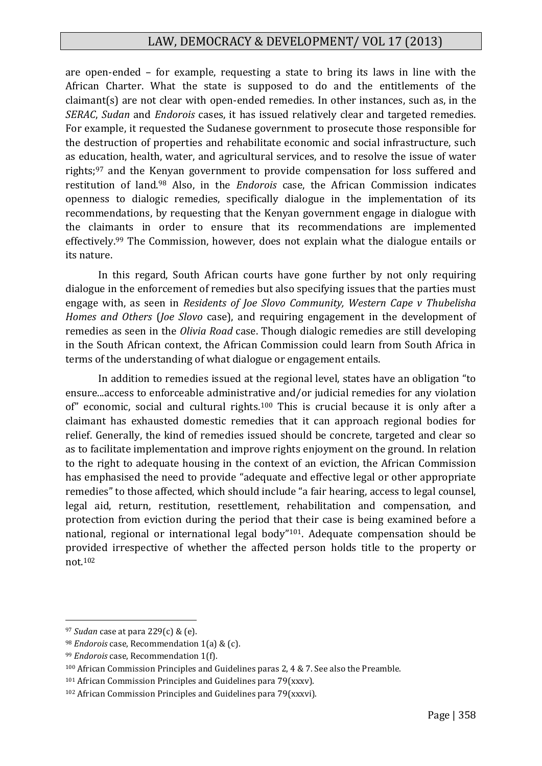are open-ended – for example, requesting a state to bring its laws in line with the African Charter. What the state is supposed to do and the entitlements of the claimant(s) are not clear with open-ended remedies. In other instances, such as, in the *SERAC*, *Sudan* and *Endorois* cases, it has issued relatively clear and targeted remedies. For example, it requested the Sudanese government to prosecute those responsible for the destruction of properties and rehabilitate economic and social infrastructure, such as education, health, water, and agricultural services, and to resolve the issue of water rights;<sup>97</sup> and the Kenyan government to provide compensation for loss suffered and restitution of land.<sup>98</sup> Also, in the *Endorois* case, the African Commission indicates openness to dialogic remedies, specifically dialogue in the implementation of its recommendations, by requesting that the Kenyan government engage in dialogue with the claimants in order to ensure that its recommendations are implemented effectively.<sup>99</sup> The Commission, however, does not explain what the dialogue entails or its nature.

In this regard, South African courts have gone further by not only requiring dialogue in the enforcement of remedies but also specifying issues that the parties must engage with, as seen in *Residents of Joe Slovo Community, Western Cape v Thubelisha Homes and Others* (*Joe Slovo* case), and requiring engagement in the development of remedies as seen in the *Olivia Road* case. Though dialogic remedies are still developing in the South African context, the African Commission could learn from South Africa in terms of the understanding of what dialogue or engagement entails.

In addition to remedies issued at the regional level, states have an obligation "to ensure...access to enforceable administrative and/or judicial remedies for any violation of" economic, social and cultural rights.<sup>100</sup> This is crucial because it is only after a claimant has exhausted domestic remedies that it can approach regional bodies for relief. Generally, the kind of remedies issued should be concrete, targeted and clear so as to facilitate implementation and improve rights enjoyment on the ground. In relation to the right to adequate housing in the context of an eviction, the African Commission has emphasised the need to provide "adequate and effective legal or other appropriate remedies" to those affected, which should include "a fair hearing, access to legal counsel, legal aid, return, restitution, resettlement, rehabilitation and compensation, and protection from eviction during the period that their case is being examined before a national, regional or international legal body"101. Adequate compensation should be provided irrespective of whether the affected person holds title to the property or not.<sup>102</sup>

<sup>97</sup> *Sudan* case at para 229(c) & (e).

<sup>98</sup> *Endorois* case, Recommendation 1(a) & (c).

<sup>99</sup> *Endorois* case, Recommendation 1(f).

<sup>100</sup> African Commission Principles and Guidelines paras 2, 4 & 7. See also the Preamble.

<sup>101</sup> African Commission Principles and Guidelines para 79(xxxv).

<sup>102</sup> African Commission Principles and Guidelines para 79(xxxvi).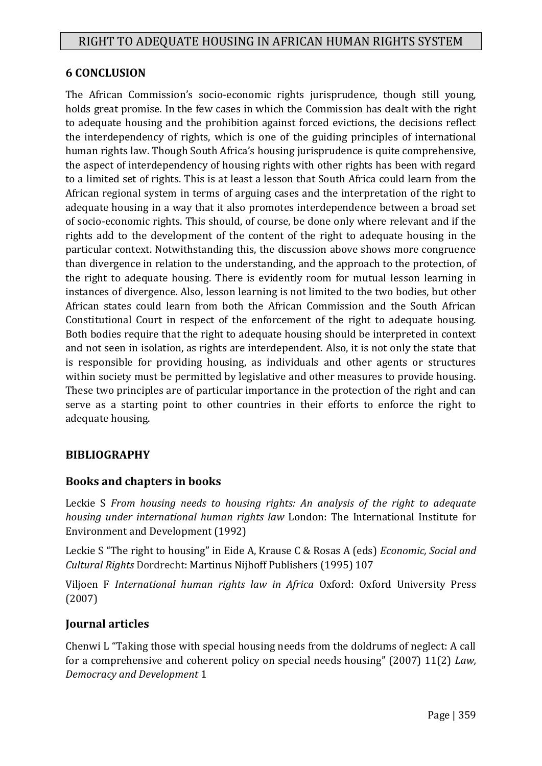#### **6 CONCLUSION**

The African Commission's socio-economic rights jurisprudence, though still young, holds great promise. In the few cases in which the Commission has dealt with the right to adequate housing and the prohibition against forced evictions, the decisions reflect the interdependency of rights, which is one of the guiding principles of international human rights law. Though South Africa's housing jurisprudence is quite comprehensive, the aspect of interdependency of housing rights with other rights has been with regard to a limited set of rights. This is at least a lesson that South Africa could learn from the African regional system in terms of arguing cases and the interpretation of the right to adequate housing in a way that it also promotes interdependence between a broad set of socio-economic rights. This should, of course, be done only where relevant and if the rights add to the development of the content of the right to adequate housing in the particular context. Notwithstanding this, the discussion above shows more congruence than divergence in relation to the understanding, and the approach to the protection, of the right to adequate housing. There is evidently room for mutual lesson learning in instances of divergence. Also, lesson learning is not limited to the two bodies, but other African states could learn from both the African Commission and the South African Constitutional Court in respect of the enforcement of the right to adequate housing. Both bodies require that the right to adequate housing should be interpreted in context and not seen in isolation, as rights are interdependent. Also, it is not only the state that is responsible for providing housing, as individuals and other agents or structures within society must be permitted by legislative and other measures to provide housing. These two principles are of particular importance in the protection of the right and can serve as a starting point to other countries in their efforts to enforce the right to adequate housing.

#### **BIBLIOGRAPHY**

#### **Books and chapters in books**

Leckie S *From housing needs to housing rights: An analysis of the right to adequate housing under international human rights law* London: The International Institute for Environment and Development (1992)

Leckie S "The right to housing" in Eide A, Krause C & Rosas A (eds) *Economic, Social and Cultural Rights* Dordrecht: Martinus Nijhoff Publishers (1995) 107

Viljoen F *International human rights law in Africa* Oxford: Oxford University Press (2007)

#### **Journal articles**

Chenwi L "Taking those with special housing needs from the doldrums of neglect: A call for a comprehensive and coherent policy on special needs housing" (2007) 11(2) *Law, Democracy and Development* 1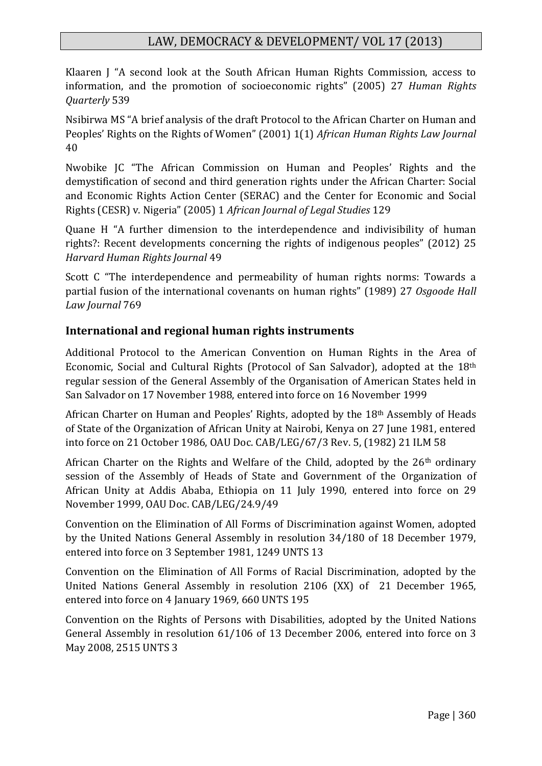Klaaren J "A second look at the South African Human Rights Commission, access to information, and the promotion of socioeconomic rights" (2005) 27 *Human Rights Quarterly* 539

Nsibirwa MS "A brief analysis of the draft Protocol to the African Charter on Human and Peoples' Rights on the Rights of Women" (2001) 1(1) *African Human Rights Law Journal* 40

Nwobike JC "The African Commission on Human and Peoples' Rights and the demystification of second and third generation rights under the African Charter: Social and Economic Rights Action Center (SERAC) and the Center for Economic and Social Rights (CESR) v. Nigeria" (2005) 1 *African Journal of Legal Studies* 129

Quane H "A further dimension to the interdependence and indivisibility of human rights?: Recent developments concerning the rights of indigenous peoples" (2012) 25 *Harvard Human Rights Journal* 49

Scott C "The interdependence and permeability of human rights norms: Towards a partial fusion of the international covenants on human rights" (1989) 27 *Osgoode Hall Law Journal* 769

## **International and regional human rights instruments**

Additional Protocol to the American Convention on Human Rights in the Area of Economic, Social and Cultural Rights (Protocol of San Salvador), adopted at the 18th regular session of the General Assembly of the Organisation of American States held in San Salvador on 17 November 1988, entered into force on 16 November 1999

African Charter on Human and Peoples' Rights, adopted by the 18th Assembly of Heads of State of the Organization of African Unity at Nairobi, Kenya on 27 June 1981, entered into force on 21 October 1986, OAU Doc. CAB/LEG/67/3 Rev. 5, (1982) 21 ILM 58

African Charter on the Rights and Welfare of the Child, adopted by the 26<sup>th</sup> ordinary session of the Assembly of Heads of State and Government of the Organization of African Unity at Addis Ababa, Ethiopia on 11 July 1990, entered into force on 29 November 1999, OAU Doc. CAB/LEG/24.9/49

Convention on the Elimination of All Forms of Discrimination against Women, adopted by the United Nations General Assembly in resolution 34/180 of 18 December 1979, entered into force on 3 September 1981, 1249 UNTS 13

Convention on the Elimination of All Forms of Racial Discrimination, adopted by the United Nations General Assembly in resolution 2106 (XX) of 21 December 1965, entered into force on 4 January 1969, 660 UNTS 195

Convention on the Rights of Persons with Disabilities, adopted by the United Nations General Assembly in resolution 61/106 of 13 December 2006, entered into force on 3 May 2008, 2515 UNTS 3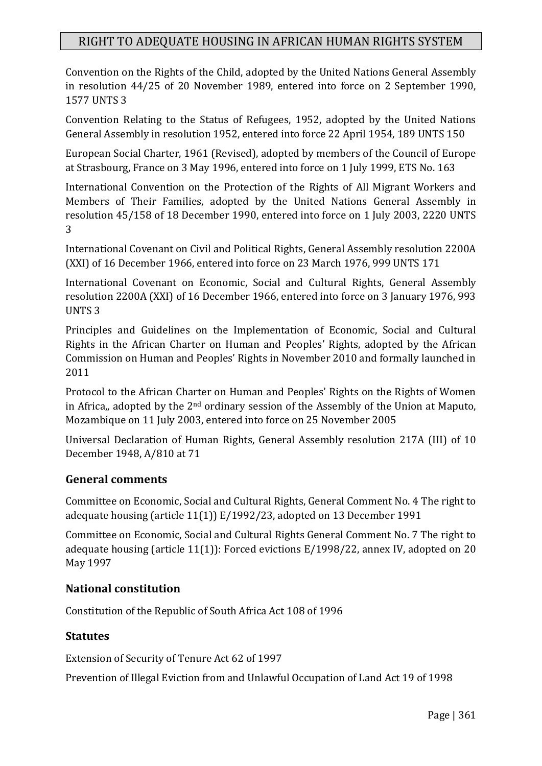Convention on the Rights of the Child, adopted by the United Nations General Assembly in resolution 44/25 of 20 November 1989, entered into force on 2 September 1990, 1577 UNTS 3

Convention Relating to the Status of Refugees, 1952, adopted by the United Nations General Assembly in resolution 1952, entered into force 22 April 1954, 189 UNTS 150

European Social Charter, 1961 (Revised), adopted by members of the Council of Europe at Strasbourg, France on 3 May 1996, entered into force on 1 July 1999, ETS No. 163

International Convention on the Protection of the Rights of All Migrant Workers and Members of Their Families, adopted by the United Nations General Assembly in resolution 45/158 of 18 December 1990, entered into force on 1 July 2003, 2220 UNTS 3

International Covenant on Civil and Political Rights, General Assembly resolution 2200A (XXI) of 16 December 1966, entered into force on 23 March 1976, 999 UNTS 171

International Covenant on Economic, Social and Cultural Rights, General Assembly resolution 2200A (XXI) of 16 December 1966, entered into force on 3 January 1976, 993 UNTS 3

Principles and Guidelines on the Implementation of Economic, Social and Cultural Rights in the African Charter on Human and Peoples' Rights, adopted by the African Commission on Human and Peoples' Rights in November 2010 and formally launched in 2011

Protocol to the African Charter on Human and Peoples' Rights on the Rights of Women in Africa,, adopted by the  $2<sup>nd</sup>$  ordinary session of the Assembly of the Union at Maputo, Mozambique on 11 July 2003, entered into force on 25 November 2005

Universal Declaration of Human Rights, General Assembly resolution 217A (III) of 10 December 1948, A/810 at 71

#### **General comments**

Committee on Economic, Social and Cultural Rights, General Comment No. 4 The right to adequate housing (article 11(1)) E/1992/23, adopted on 13 December 1991

Committee on Economic, Social and Cultural Rights General Comment No. 7 The right to adequate housing (article 11(1)): Forced evictions E/1998/22, annex IV, adopted on 20 May 1997

#### **National constitution**

Constitution of the Republic of South Africa Act 108 of 1996

#### **Statutes**

Extension of Security of Tenure Act 62 of 1997

Prevention of Illegal Eviction from and Unlawful Occupation of Land Act 19 of 1998